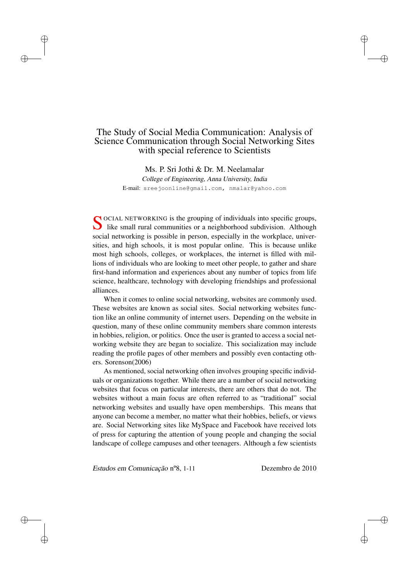# The Study of Social Media Communication: Analysis of Science Communication through Social Networking Sites with special reference to Scientists

✐

✐

✐

✐

Ms. P. Sri Jothi & Dr. M. Neelamalar *College of Engineering, Anna University, India* E-mail: sreejoonline@gmail.com, nmalar@yahoo.com

SOCIAL NETWORKING is the grouping of individuals into specific groups,<br>like small rural communities or a neighborhood subdivision. Although social networking is possible in person, especially in the workplace, universities, and high schools, it is most popular online. This is because unlike most high schools, colleges, or workplaces, the internet is filled with millions of individuals who are looking to meet other people, to gather and share first-hand information and experiences about any number of topics from life science, healthcare, technology with developing friendships and professional alliances.

When it comes to online social networking, websites are commonly used. These websites are known as social sites. Social networking websites function like an online community of internet users. Depending on the website in question, many of these online community members share common interests in hobbies, religion, or politics. Once the user is granted to access a social networking website they are began to socialize. This socialization may include reading the profile pages of other members and possibly even contacting others. Sorenson(2006)

As mentioned, social networking often involves grouping specific individuals or organizations together. While there are a number of social networking websites that focus on particular interests, there are others that do not. The websites without a main focus are often referred to as "traditional" social networking websites and usually have open memberships. This means that anyone can become a member, no matter what their hobbies, beliefs, or views are. Social Networking sites like MySpace and Facebook have received lots of press for capturing the attention of young people and changing the social landscape of college campuses and other teenagers. Although a few scientists

*Estudos em Comunicação* nº8, 1-11 Dezembro de 2010

✐

✐

✐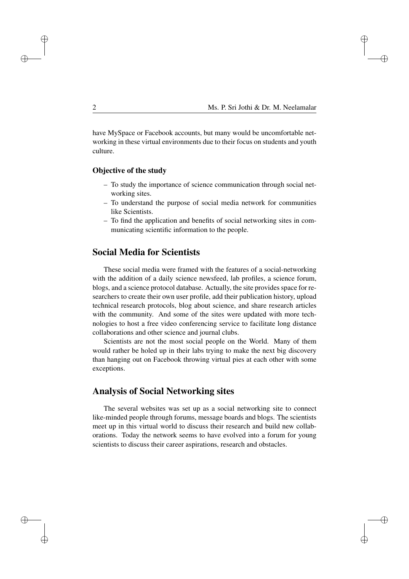$\oplus$ 

✐

✐

have MySpace or Facebook accounts, but many would be uncomfortable networking in these virtual environments due to their focus on students and youth culture.

#### Objective of the study

- To study the importance of science communication through social networking sites.
- To understand the purpose of social media network for communities like Scientists.
- To find the application and benefits of social networking sites in communicating scientific information to the people.

# Social Media for Scientists

These social media were framed with the features of a social-networking with the addition of a daily science newsfeed, lab profiles, a science forum, blogs, and a science protocol database. Actually, the site provides space for researchers to create their own user profile, add their publication history, upload technical research protocols, blog about science, and share research articles with the community. And some of the sites were updated with more technologies to host a free video conferencing service to facilitate long distance collaborations and other science and journal clubs.

Scientists are not the most social people on the World. Many of them would rather be holed up in their labs trying to make the next big discovery than hanging out on Facebook throwing virtual pies at each other with some exceptions.

## Analysis of Social Networking sites

The several websites was set up as a social networking site to connect like-minded people through forums, message boards and blogs. The scientists meet up in this virtual world to discuss their research and build new collaborations. Today the network seems to have evolved into a forum for young scientists to discuss their career aspirations, research and obstacles.

✐

✐

✐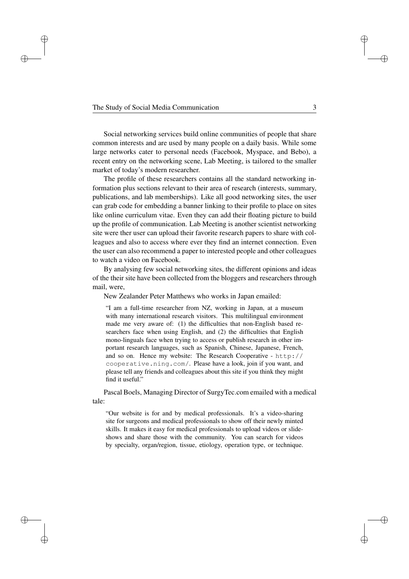✐

✐

✐

Social networking services build online communities of people that share common interests and are used by many people on a daily basis. While some large networks cater to personal needs (Facebook, Myspace, and Bebo), a recent entry on the networking scene, Lab Meeting, is tailored to the smaller market of today's modern researcher.

The profile of these researchers contains all the standard networking information plus sections relevant to their area of research (interests, summary, publications, and lab memberships). Like all good networking sites, the user can grab code for embedding a banner linking to their profile to place on sites like online curriculum vitae. Even they can add their floating picture to build up the profile of communication. Lab Meeting is another scientist networking site were ther user can upload their favorite research papers to share with colleagues and also to access where ever they find an internet connection. Even the user can also recommend a paper to interested people and other colleagues to watch a video on Facebook.

By analysing few social networking sites, the different opinions and ideas of the their site have been collected from the bloggers and researchers through mail, were,

New Zealander Peter Matthews who works in Japan emailed:

"I am a full-time researcher from NZ, working in Japan, at a museum with many international research visitors. This multilingual environment made me very aware of: (1) the difficulties that non-English based researchers face when using English, and (2) the difficulties that English mono-linguals face when trying to access or publish research in other important research languages, such as Spanish, Chinese, Japanese, French, and so on. Hence my website: The Research Cooperative - http:// cooperative.ning.com/. Please have a look, join if you want, and please tell any friends and colleagues about this site if you think they might find it useful."

Pascal Boels, Managing Director of SurgyTec.com emailed with a medical tale:

"Our website is for and by medical professionals. It's a video-sharing site for surgeons and medical professionals to show off their newly minted skills. It makes it easy for medical professionals to upload videos or slideshows and share those with the community. You can search for videos by specialty, organ/region, tissue, etiology, operation type, or technique. ✐

 $\oplus$ 

✐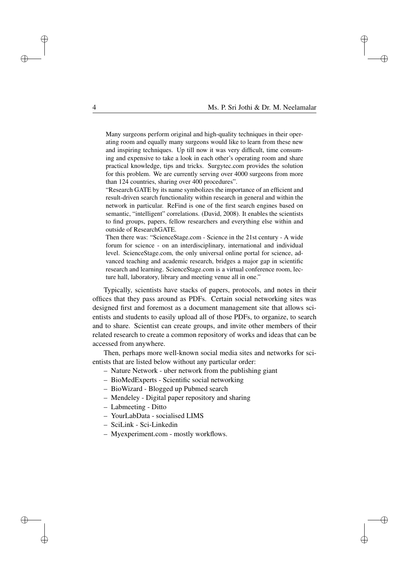$\oplus$ 

✐

✐

Many surgeons perform original and high-quality techniques in their operating room and equally many surgeons would like to learn from these new and inspiring techniques. Up till now it was very difficult, time consuming and expensive to take a look in each other's operating room and share practical knowledge, tips and tricks. Surgytec.com provides the solution for this problem. We are currently serving over 4000 surgeons from more than 124 countries, sharing over 400 procedures".

"Research GATE by its name symbolizes the importance of an efficient and result-driven search functionality within research in general and within the network in particular. ReFind is one of the first search engines based on semantic, "intelligent" correlations. (David, 2008). It enables the scientists to find groups, papers, fellow researchers and everything else within and outside of ResearchGATE.

Then there was: "ScienceStage.com - Science in the 21st century - A wide forum for science - on an interdisciplinary, international and individual level. ScienceStage.com, the only universal online portal for science, advanced teaching and academic research, bridges a major gap in scientific research and learning. ScienceStage.com is a virtual conference room, lecture hall, laboratory, library and meeting venue all in one."

Typically, scientists have stacks of papers, protocols, and notes in their offices that they pass around as PDFs. Certain social networking sites was designed first and foremost as a document management site that allows scientists and students to easily upload all of those PDFs, to organize, to search and to share. Scientist can create groups, and invite other members of their related research to create a common repository of works and ideas that can be accessed from anywhere.

Then, perhaps more well-known social media sites and networks for scientists that are listed below without any particular order:

- Nature Network uber network from the publishing giant
- BioMedExperts Scientific social networking
- BioWizard Blogged up Pubmed search
- Mendeley Digital paper repository and sharing
- Labmeeting Ditto
- YourLabData socialised LIMS
- SciLink Sci-Linkedin
- Myexperiment.com mostly workflows.

✐

✐

✐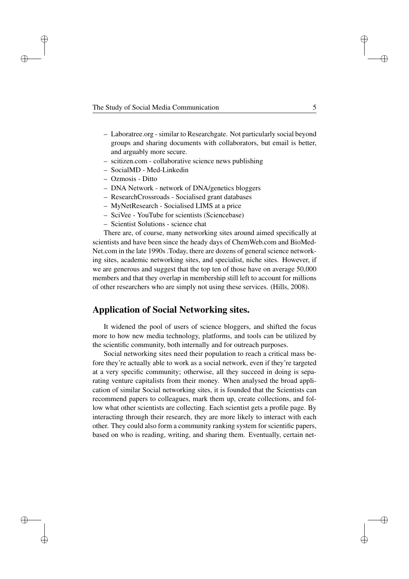- Laboratree.org similar to Researchgate. Not particularly social beyond groups and sharing documents with collaborators, but email is better, and arguably more secure.
- scitizen.com collaborative science news publishing
- SocialMD Med-Linkedin
- Ozmosis Ditto

✐

✐

✐

- DNA Network network of DNA/genetics bloggers
- ResearchCrossroads Socialised grant databases
- MyNetResearch Socialised LIMS at a price
- SciVee YouTube for scientists (Sciencebase)
- Scientist Solutions science chat

There are, of course, many networking sites around aimed specifically at scientists and have been since the heady days of ChemWeb.com and BioMed-Net.com in the late 1990s .Today, there are dozens of general science networking sites, academic networking sites, and specialist, niche sites. However, if we are generous and suggest that the top ten of those have on average 50,000 members and that they overlap in membership still left to account for millions of other researchers who are simply not using these services. (Hills, 2008).

#### Application of Social Networking sites.

It widened the pool of users of science bloggers, and shifted the focus more to how new media technology, platforms, and tools can be utilized by the scientific community, both internally and for outreach purposes.

Social networking sites need their population to reach a critical mass before they're actually able to work as a social network, even if they're targeted at a very specific community; otherwise, all they succeed in doing is separating venture capitalists from their money. When analysed the broad application of similar Social networking sites, it is founded that the Scientists can recommend papers to colleagues, mark them up, create collections, and follow what other scientists are collecting. Each scientist gets a profile page. By interacting through their research, they are more likely to interact with each other. They could also form a community ranking system for scientific papers, based on who is reading, writing, and sharing them. Eventually, certain net-

✐

 $\oplus$ 

✐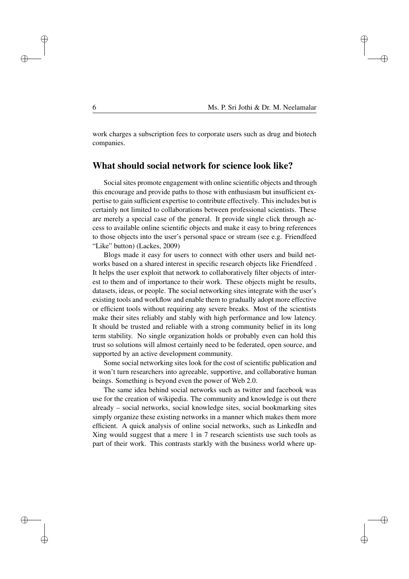$\oplus$ 

✐

✐

work charges a subscription fees to corporate users such as drug and biotech companies.

### What should social network for science look like?

Social sites promote engagement with online scientific objects and through this encourage and provide paths to those with enthusiasm but insufficient expertise to gain sufficient expertise to contribute effectively. This includes but is certainly not limited to collaborations between professional scientists. These are merely a special case of the general. It provide single click through access to available online scientific objects and make it easy to bring references to those objects into the user's personal space or stream (see e.g. Friendfeed "Like" button) (Lackes, 2009)

Blogs made it easy for users to connect with other users and build networks based on a shared interest in specific research objects like Friendfeed . It helps the user exploit that network to collaboratively filter objects of interest to them and of importance to their work. These objects might be results, datasets, ideas, or people. The social networking sites integrate with the user's existing tools and workflow and enable them to gradually adopt more effective or efficient tools without requiring any severe breaks. Most of the scientists make their sites reliably and stably with high performance and low latency. It should be trusted and reliable with a strong community belief in its long term stability. No single organization holds or probably even can hold this trust so solutions will almost certainly need to be federated, open source, and supported by an active development community.

Some social networking sites look for the cost of scientific publication and it won't turn researchers into agreeable, supportive, and collaborative human beings. Something is beyond even the power of Web 2.0.

The same idea behind social networks such as twitter and facebook was use for the creation of wikipedia. The community and knowledge is out there already – social networks, social knowledge sites, social bookmarking sites simply organize these existing networks in a manner which makes them more efficient. A quick analysis of online social networks, such as LinkedIn and Xing would suggest that a mere 1 in 7 research scientists use such tools as part of their work. This contrasts starkly with the business world where up-

✐

✐

✐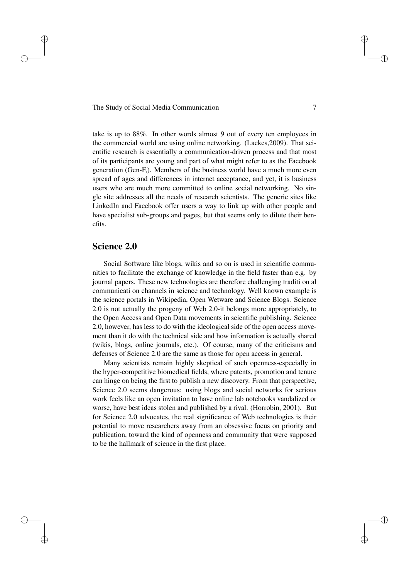take is up to 88%. In other words almost 9 out of every ten employees in the commercial world are using online networking. (Lackes,2009). That scientific research is essentially a communication-driven process and that most of its participants are young and part of what might refer to as the Facebook generation (Gen-F,). Members of the business world have a much more even spread of ages and differences in internet acceptance, and yet, it is business users who are much more committed to online social networking. No single site addresses all the needs of research scientists. The generic sites like LinkedIn and Facebook offer users a way to link up with other people and have specialist sub-groups and pages, but that seems only to dilute their benefits.

#### Science 2.0

✐

✐

✐

✐

Social Software like blogs, wikis and so on is used in scientific communities to facilitate the exchange of knowledge in the field faster than e.g. by journal papers. These new technologies are therefore challenging traditi on al communicati on channels in science and technology. Well known example is the science portals in Wikipedia, Open Wetware and Science Blogs. Science 2.0 is not actually the progeny of Web 2.0-it belongs more appropriately, to the Open Access and Open Data movements in scientific publishing. Science 2.0, however, has less to do with the ideological side of the open access movement than it do with the technical side and how information is actually shared (wikis, blogs, online journals, etc.). Of course, many of the criticisms and defenses of Science 2.0 are the same as those for open access in general.

Many scientists remain highly skeptical of such openness-especially in the hyper-competitive biomedical fields, where patents, promotion and tenure can hinge on being the first to publish a new discovery. From that perspective, Science 2.0 seems dangerous: using blogs and social networks for serious work feels like an open invitation to have online lab notebooks vandalized or worse, have best ideas stolen and published by a rival. (Horrobin, 2001). But for Science 2.0 advocates, the real significance of Web technologies is their potential to move researchers away from an obsessive focus on priority and publication, toward the kind of openness and community that were supposed to be the hallmark of science in the first place.

✐

 $\oplus$ 

✐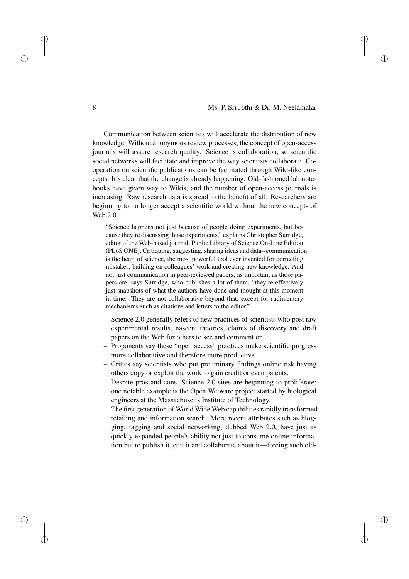$\oplus$ 

✐

✐

Communication between scientists will accelerate the distribution of new knowledge. Without anonymous review processes, the concept of open-access journals will assure research quality. Science is collaboration, so scientific social networks will facilitate and improve the way scientists collaborate. Cooperation on scientific publications can be facilitated through Wiki-like concepts. It's clear that the change is already happening. Old-fashioned lab notebooks have given way to Wikis, and the number of open-access journals is increasing. Raw research data is spread to the benefit of all. Researchers are beginning to no longer accept a scientific world without the new concepts of Web 2.0.

"Science happens not just because of people doing experiments, but because they're discussing those experiments," explains Christopher Surridge, editor of the Web-based journal, Public Library of Science On-Line Edition (PLoS ONE). Critiquing, suggesting, sharing ideas and data--communication is the heart of science, the most powerful tool ever invented for correcting mistakes, building on colleagues' work and creating new knowledge. And not just communication in peer-reviewed papers; as important as those papers are, says Surridge, who publishes a lot of them, "they're effectively just snapshots of what the authors have done and thought at this moment in time. They are not collaborative beyond that, except for rudimentary mechanisms such as citations and letters to the editor."

- Science 2.0 generally refers to new practices of scientists who post raw experimental results, nascent theories, claims of discovery and draft papers on the Web for others to see and comment on.
- Proponents say these "open access" practices make scientific progress more collaborative and therefore more productive.
- Critics say scientists who put preliminary findings online risk having others copy or exploit the work to gain credit or even patents.
- Despite pros and cons, Science 2.0 sites are beginning to proliferate; one notable example is the Open Wetware project started by biological engineers at the Massachusetts Institute of Technology.
- The first generation of World Wide Web capabilities rapidly transformed retailing and information search. More recent attributes such as blogging, tagging and social networking, dubbed Web 2.0, have just as quickly expanded people's ability not just to consume online information but to publish it, edit it and collaborate about it—forcing such old-

✐

✐

✐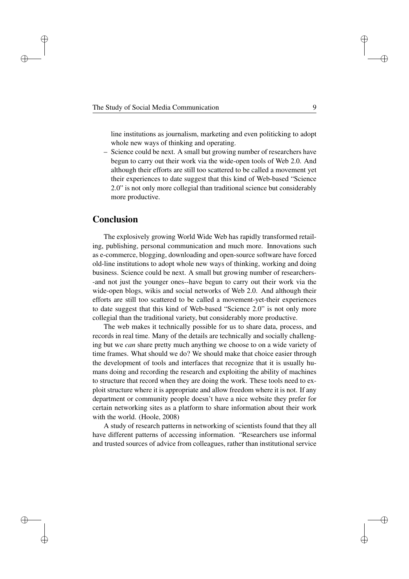line institutions as journalism, marketing and even politicking to adopt whole new ways of thinking and operating.

– Science could be next. A small but growing number of researchers have begun to carry out their work via the wide-open tools of Web 2.0. And although their efforts are still too scattered to be called a movement yet their experiences to date suggest that this kind of Web-based "Science 2.0" is not only more collegial than traditional science but considerably more productive.

## Conclusion

✐

✐

✐

✐

The explosively growing World Wide Web has rapidly transformed retailing, publishing, personal communication and much more. Innovations such as e-commerce, blogging, downloading and open-source software have forced old-line institutions to adopt whole new ways of thinking, working and doing business. Science could be next. A small but growing number of researchers- -and not just the younger ones--have begun to carry out their work via the wide-open blogs, wikis and social networks of Web 2.0. And although their efforts are still too scattered to be called a movement-yet-their experiences to date suggest that this kind of Web-based "Science 2.0" is not only more collegial than the traditional variety, but considerably more productive.

The web makes it technically possible for us to share data, process, and records in real time. Many of the details are technically and socially challenging but we *can* share pretty much anything we choose to on a wide variety of time frames. What should we do? We should make that choice easier through the development of tools and interfaces that recognize that it is usually humans doing and recording the research and exploiting the ability of machines to structure that record when they are doing the work. These tools need to exploit structure where it is appropriate and allow freedom where it is not. If any department or community people doesn't have a nice website they prefer for certain networking sites as a platform to share information about their work with the world. (Hoole, 2008)

A study of research patterns in networking of scientists found that they all have different patterns of accessing information. "Researchers use informal and trusted sources of advice from colleagues, rather than institutional service ✐

 $\oplus$ 

✐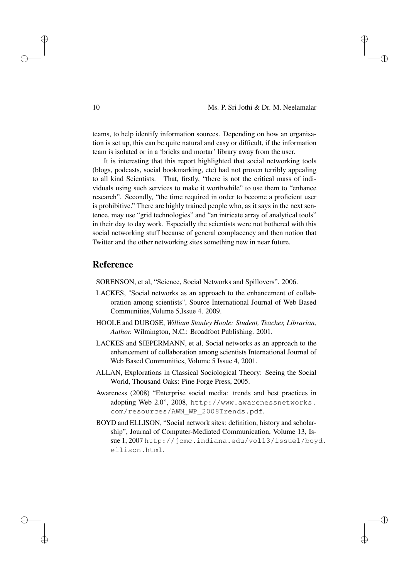$\oplus$ 

✐

✐

teams, to help identify information sources. Depending on how an organisation is set up, this can be quite natural and easy or difficult, if the information team is isolated or in a 'bricks and mortar' library away from the user.

It is interesting that this report highlighted that social networking tools (blogs, podcasts, social bookmarking, etc) had not proven terribly appealing to all kind Scientists. That, firstly, "there is not the critical mass of individuals using such services to make it worthwhile" to use them to "enhance research". Secondly, "the time required in order to become a proficient user is prohibitive." There are highly trained people who, as it says in the next sentence, may use "grid technologies" and "an intricate array of analytical tools" in their day to day work. Especially the scientists were not bothered with this social networking stuff because of general complacency and then notion that Twitter and the other networking sites something new in near future.

# Reference

SORENSON, et al, "Science, Social Networks and Spillovers". 2006.

- LACKES, "Social networks as an approach to the enhancement of collaboration among scientists", Source International Journal of Web Based Communities,Volume 5,Issue 4. 2009.
- HOOLE and DUBOSE, *William Stanley Hoole: Student, Teacher, Librarian, Author.* Wilmington, N.C.: Broadfoot Publishing. 2001.
- LACKES and SIEPERMANN, et al, Social networks as an approach to the enhancement of collaboration among scientists International Journal of Web Based Communities, Volume 5 Issue 4, 2001.
- ALLAN, Explorations in Classical Sociological Theory: Seeing the Social World, Thousand Oaks: Pine Forge Press, 2005.
- Awareness (2008) "Enterprise social media: trends and best practices in adopting Web 2.0", 2008, http://www.awarenessnetworks. com/resources/AWN\_WP\_2008Trends.pdf.
- BOYD and ELLISON, "Social network sites: definition, history and scholarship", Journal of Computer-Mediated Communication, Volume 13, Issue 1, 2007 http://jcmc.indiana.edu/vol13/issue1/boyd. ellison.html.

✐

✐

✐